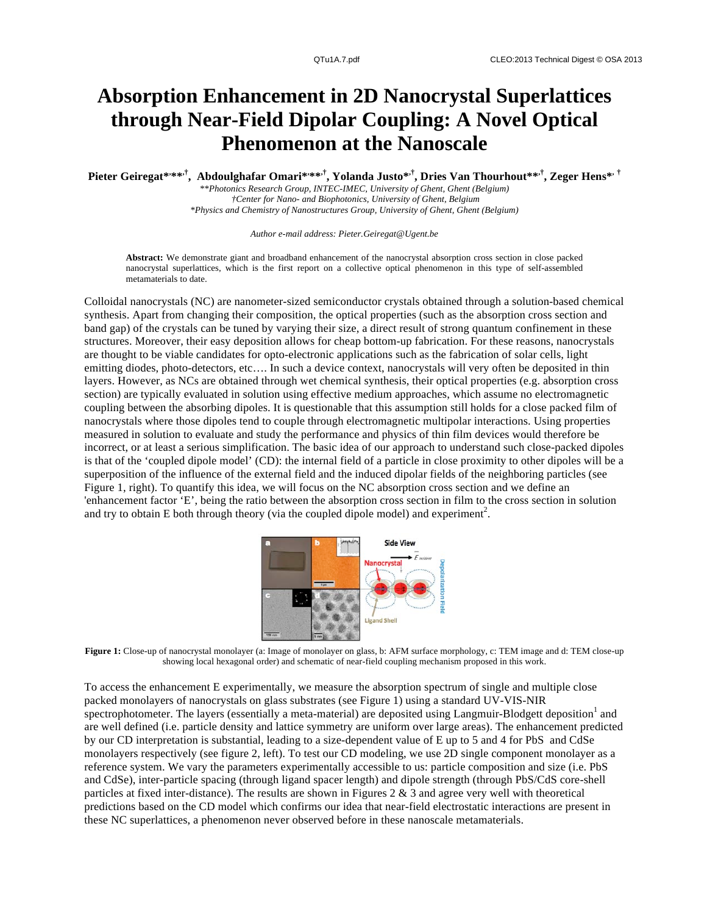## **Absorption Enhancement in 2D Nanocrystal Superlattices through Near-Field Dipolar Coupling: A Novel Optical Phenomenon at the Nanoscale**

## **Pieter Geiregat\*, \*\*,† , Abdoulghafar Omari\*, \*\*,† , Yolanda Justo\*,† , Dries Van Thourhout\*\*,† , Zeger Hens\*, †**

*\*\*Photonics Research Group, INTEC-IMEC, University of Ghent, Ghent (Belgium) †Center for Nano- and Biophotonics, University of Ghent, Belgium \*Physics and Chemistry of Nanostructures Group, University of Ghent, Ghent (Belgium)* 

*Author e-mail address: Pieter.Geiregat@Ugent.be*

**Abstract:** We demonstrate giant and broadband enhancement of the nanocrystal absorption cross section in close packed nanocrystal superlattices, which is the first report on a collective optical phenomenon in this type of self-assembled metamaterials to date.

Colloidal nanocrystals (NC) are nanometer-sized semiconductor crystals obtained through a solution-based chemical synthesis. Apart from changing their composition, the optical properties (such as the absorption cross section and band gap) of the crystals can be tuned by varying their size, a direct result of strong quantum confinement in these structures. Moreover, their easy deposition allows for cheap bottom-up fabrication. For these reasons, nanocrystals are thought to be viable candidates for opto-electronic applications such as the fabrication of solar cells, light emitting diodes, photo-detectors, etc…. In such a device context, nanocrystals will very often be deposited in thin layers. However, as NCs are obtained through wet chemical synthesis, their optical properties (e.g. absorption cross section) are typically evaluated in solution using effective medium approaches, which assume no electromagnetic coupling between the absorbing dipoles. It is questionable that this assumption still holds for a close packed film of nanocrystals where those dipoles tend to couple through electromagnetic multipolar interactions. Using properties measured in solution to evaluate and study the performance and physics of thin film devices would therefore be incorrect, or at least a serious simplification. The basic idea of our approach to understand such close-packed dipoles is that of the 'coupled dipole model' (CD): the internal field of a particle in close proximity to other dipoles will be a superposition of the influence of the external field and the induced dipolar fields of the neighboring particles (see Figure 1, right). To quantify this idea, we will focus on the NC absorption cross section and we define an 'enhancement factor 'E', being the ratio between the absorption cross section in film to the cross section in solution and try to obtain E both through theory (via the coupled dipole model) and experiment<sup>2</sup>.



**Figure 1:** Close-up of nanocrystal monolayer (a: Image of monolayer on glass, b: AFM surface morphology, c: TEM image and d: TEM close-up showing local hexagonal order) and schematic of near-field coupling mechanism proposed in this work.

To access the enhancement E experimentally, we measure the absorption spectrum of single and multiple close packed monolayers of nanocrystals on glass substrates (see Figure 1) using a standard UV-VIS-NIR spectrophotometer. The layers (essentially a meta-material) are deposited using Langmuir-Blodgett deposition<sup>1</sup> and are well defined (i.e. particle density and lattice symmetry are uniform over large areas). The enhancement predicted by our CD interpretation is substantial, leading to a size-dependent value of E up to 5 and 4 for PbS and CdSe monolayers respectively (see figure 2, left). To test our CD modeling, we use 2D single component monolayer as a reference system. We vary the parameters experimentally accessible to us: particle composition and size (i.e. PbS and CdSe), inter-particle spacing (through ligand spacer length) and dipole strength (through PbS/CdS core-shell particles at fixed inter-distance). The results are shown in Figures  $2 \& 3$  and agree very well with theoretical predictions based on the CD model which confirms our idea that near-field electrostatic interactions are present in these NC superlattices, a phenomenon never observed before in these nanoscale metamaterials.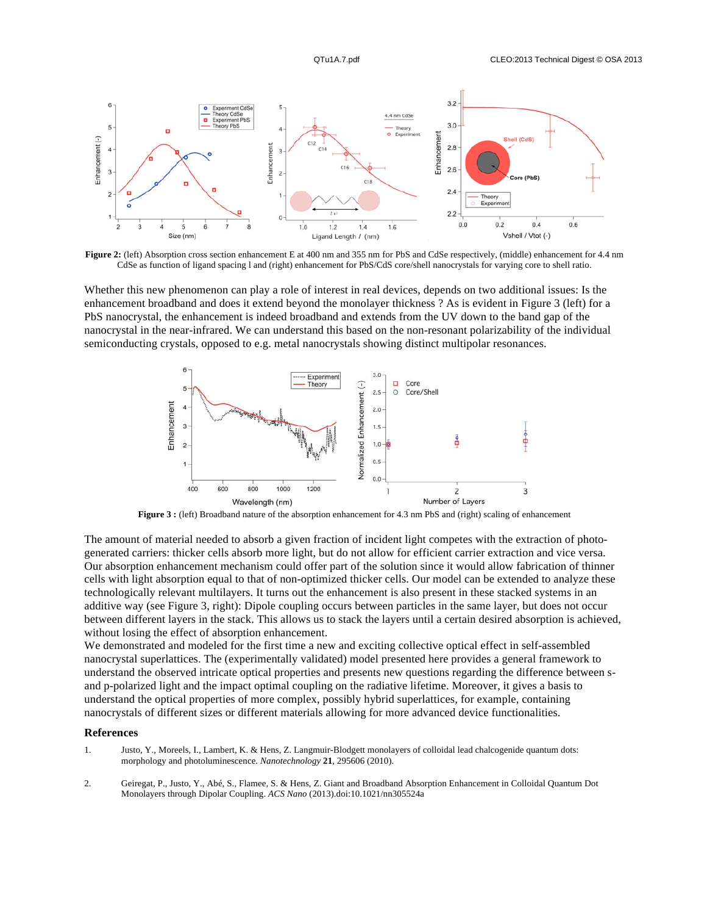

Figure 2: (left) Absorption cross section enhancement E at 400 nm and 355 nm for PbS and CdSe respectively, (middle) enhancement for 4.4 nm CdSe as function of ligand spacing l and (right) enhancement for PbS/CdS core/shell nanocrystals for varying core to shell ratio.

Whether this new phenomenon can play a role of interest in real devices, depends on two additional issues: Is the enhancement broadband and does it extend beyond the monolayer thickness ? As is evident in Figure 3 (left) for a PbS nanocrystal, the enhancement is indeed broadband and extends from the UV down to the band gap of the nanocrystal in the near-infrared. We can understand this based on the non-resonant polarizability of the individual semiconducting crystals, opposed to e.g. metal nanocrystals showing distinct multipolar resonances.



**Figure 3 :** (left) Broadband nature of the absorption enhancement for 4.3 nm PbS and (right) scaling of enhancement

The amount of material needed to absorb a given fraction of incident light competes with the extraction of photogenerated carriers: thicker cells absorb more light, but do not allow for efficient carrier extraction and vice versa. Our absorption enhancement mechanism could offer part of the solution since it would allow fabrication of thinner cells with light absorption equal to that of non-optimized thicker cells. Our model can be extended to analyze these technologically relevant multilayers. It turns out the enhancement is also present in these stacked systems in an additive way (see Figure 3, right): Dipole coupling occurs between particles in the same layer, but does not occur between different layers in the stack. This allows us to stack the layers until a certain desired absorption is achieved, without losing the effect of absorption enhancement.

We demonstrated and modeled for the first time a new and exciting collective optical effect in self-assembled nanocrystal superlattices. The (experimentally validated) model presented here provides a general framework to understand the observed intricate optical properties and presents new questions regarding the difference between sand p-polarized light and the impact optimal coupling on the radiative lifetime. Moreover, it gives a basis to understand the optical properties of more complex, possibly hybrid superlattices, for example, containing nanocrystals of different sizes or different materials allowing for more advanced device functionalities.

## **References**

- 1. Justo, Y., Moreels, I., Lambert, K. & Hens, Z. Langmuir-Blodgett monolayers of colloidal lead chalcogenide quantum dots: morphology and photoluminescence. *Nanotechnology* **21**, 295606 (2010).
- 2. Geiregat, P., Justo, Y., Abé, S., Flamee, S. & Hens, Z. Giant and Broadband Absorption Enhancement in Colloidal Quantum Dot Monolayers through Dipolar Coupling. *ACS Nano* (2013).doi:10.1021/nn305524a